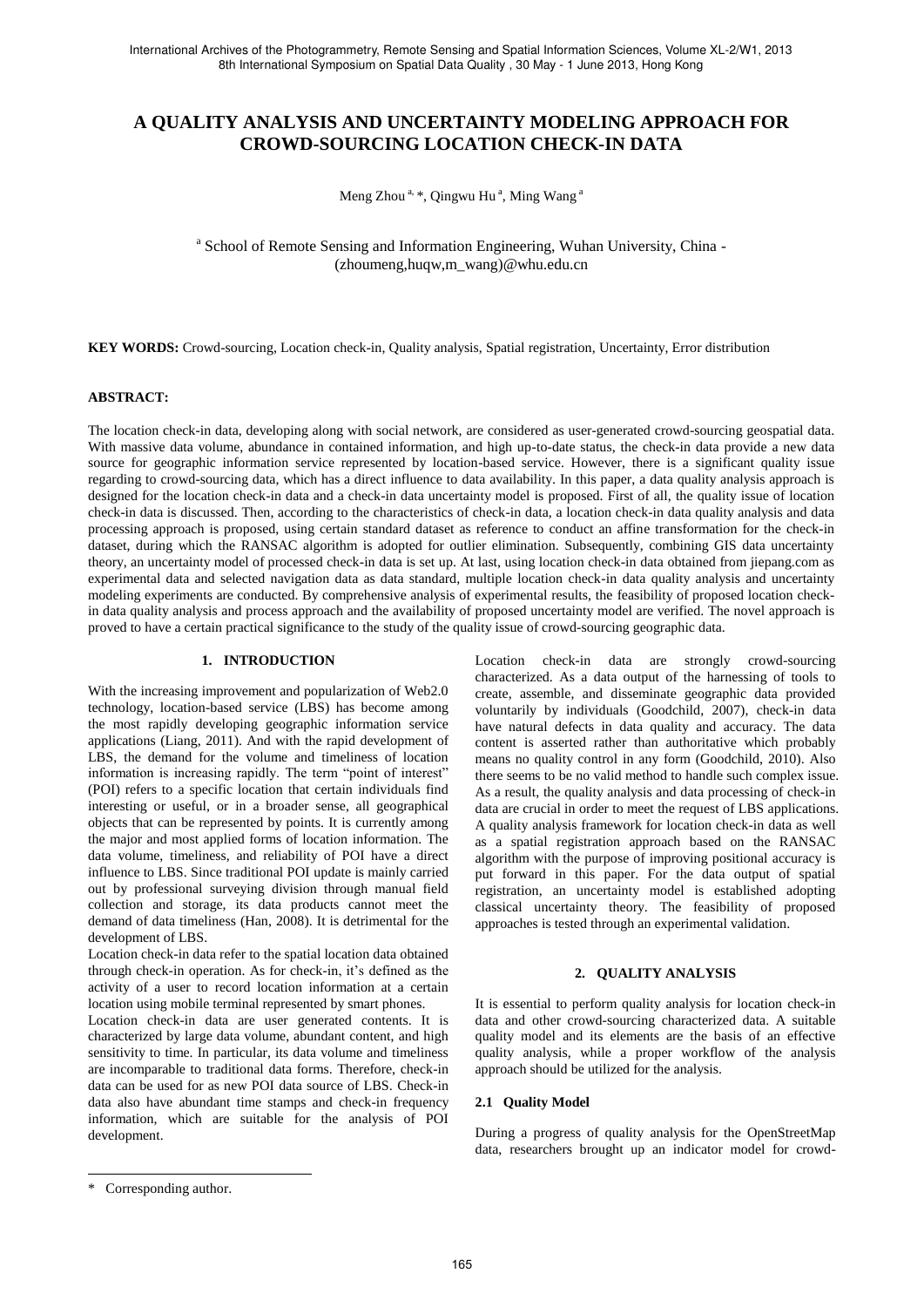# **A QUALITY ANALYSIS AND UNCERTAINTY MODELING APPROACH FOR CROWD-SOURCING LOCATION CHECK-IN DATA**

Meng Zhou<sup>a, \*</sup>, Qingwu Hu<sup>a</sup>, Ming Wang<sup>a</sup>

<sup>a</sup> School of Remote Sensing and Information Engineering, Wuhan University, China -(zhoumeng,huqw,m\_wang)@whu.edu.cn

**KEY WORDS:** Crowd-sourcing, Location check-in, Quality analysis, Spatial registration, Uncertainty, Error distribution

# **ABSTRACT:**

The location check-in data, developing along with social network, are considered as user-generated crowd-sourcing geospatial data. With massive data volume, abundance in contained information, and high up-to-date status, the check-in data provide a new data source for geographic information service represented by location-based service. However, there is a significant quality issue regarding to crowd-sourcing data, which has a direct influence to data availability. In this paper, a data quality analysis approach is designed for the location check-in data and a check-in data uncertainty model is proposed. First of all, the quality issue of location check-in data is discussed. Then, according to the characteristics of check-in data, a location check-in data quality analysis and data processing approach is proposed, using certain standard dataset as reference to conduct an affine transformation for the check-in dataset, during which the RANSAC algorithm is adopted for outlier elimination. Subsequently, combining GIS data uncertainty theory, an uncertainty model of processed check-in data is set up. At last, using location check-in data obtained from jiepang.com as experimental data and selected navigation data as data standard, multiple location check-in data quality analysis and uncertainty modeling experiments are conducted. By comprehensive analysis of experimental results, the feasibility of proposed location checkin data quality analysis and process approach and the availability of proposed uncertainty model are verified. The novel approach is proved to have a certain practical significance to the study of the quality issue of crowd-sourcing geographic data.

#### **1. INTRODUCTION**

With the increasing improvement and popularization of Web2.0 technology, location-based service (LBS) has become among the most rapidly developing geographic information service applications (Liang, 2011). And with the rapid development of LBS, the demand for the volume and timeliness of location information is increasing rapidly. The term "point of interest" (POI) refers to a specific location that certain individuals find interesting or useful, or in a broader sense, all geographical objects that can be represented by points. It is currently among the major and most applied forms of location information. The data volume, timeliness, and reliability of POI have a direct influence to LBS. Since traditional POI update is mainly carried out by professional surveying division through manual field collection and storage, its data products cannot meet the demand of data timeliness (Han, 2008). It is detrimental for the development of LBS.

Location check-in data refer to the spatial location data obtained through check-in operation. As for check-in, it"s defined as the activity of a user to record location information at a certain location using mobile terminal represented by smart phones.

Location check-in data are user generated contents. It is characterized by large data volume, abundant content, and high sensitivity to time. In particular, its data volume and timeliness are incomparable to traditional data forms. Therefore, check-in data can be used for as new POI data source of LBS. Check-in data also have abundant time stamps and check-in frequency information, which are suitable for the analysis of POI development.

Location check-in data are strongly crowd-sourcing characterized. As a data output of the harnessing of tools to create, assemble, and disseminate geographic data provided voluntarily by individuals (Goodchild, 2007), check-in data have natural defects in data quality and accuracy. The data content is asserted rather than authoritative which probably means no quality control in any form (Goodchild, 2010). Also there seems to be no valid method to handle such complex issue. As a result, the quality analysis and data processing of check-in data are crucial in order to meet the request of LBS applications. A quality analysis framework for location check-in data as well as a spatial registration approach based on the RANSAC algorithm with the purpose of improving positional accuracy is put forward in this paper. For the data output of spatial registration, an uncertainty model is established adopting classical uncertainty theory. The feasibility of proposed approaches is tested through an experimental validation.

#### **2. QUALITY ANALYSIS**

It is essential to perform quality analysis for location check-in data and other crowd-sourcing characterized data. A suitable quality model and its elements are the basis of an effective quality analysis, while a proper workflow of the analysis approach should be utilized for the analysis.

#### **2.1 Quality Model**

During a progress of quality analysis for the OpenStreetMap data, researchers brought up an indicator model for crowd-

 $\overline{a}$ 

<sup>\*</sup> Corresponding author.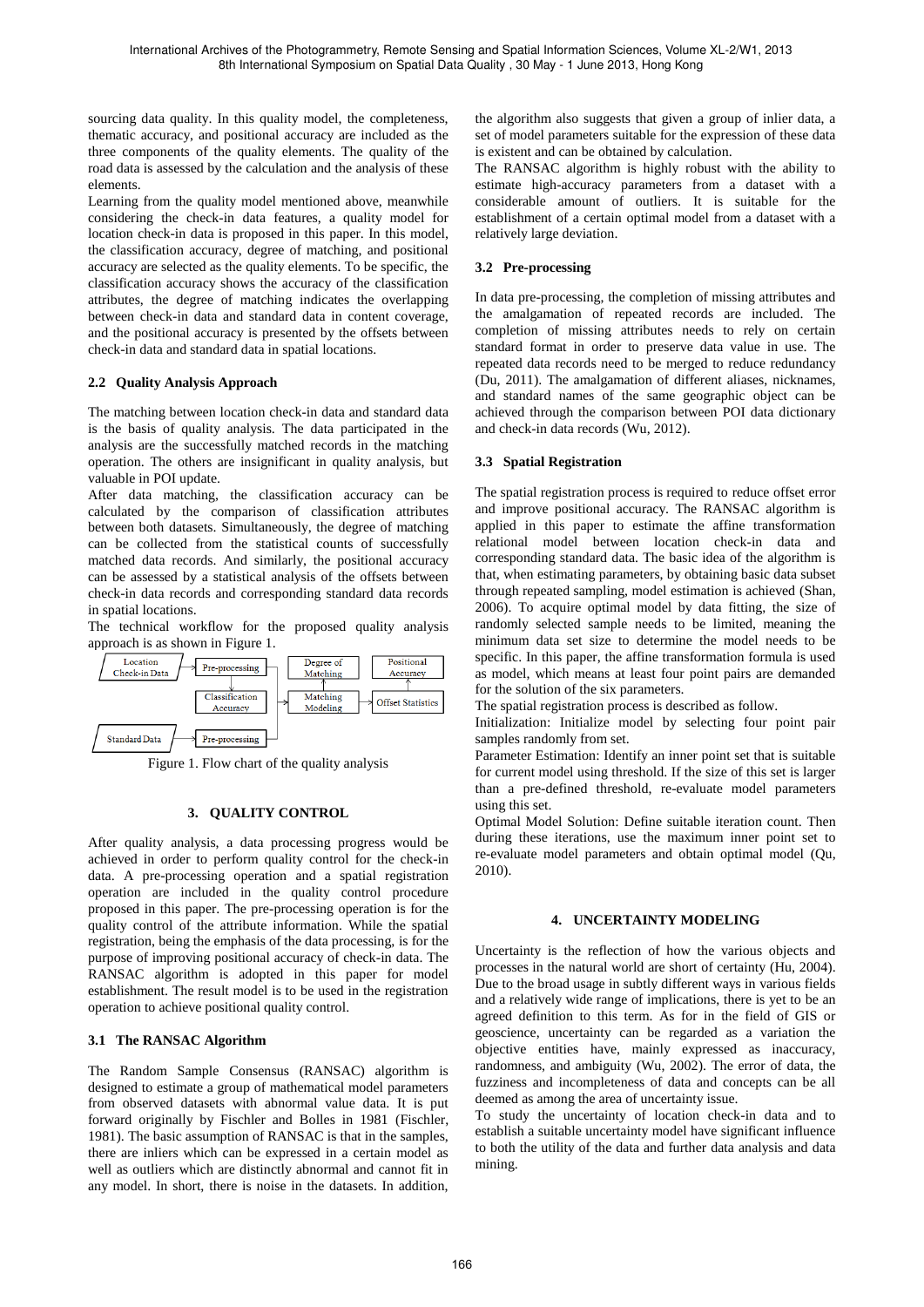sourcing data quality. In this quality model, the completeness, thematic accuracy, and positional accuracy are included as the three components of the quality elements. The quality of the road data is assessed by the calculation and the analysis of these elements.

Learning from the quality model mentioned above, meanwhile considering the check-in data features, a quality model for location check-in data is proposed in this paper. In this model, the classification accuracy, degree of matching, and positional accuracy are selected as the quality elements. To be specific, the classification accuracy shows the accuracy of the classification attributes, the degree of matching indicates the overlapping between check-in data and standard data in content coverage, and the positional accuracy is presented by the offsets between check-in data and standard data in spatial locations.

# **2.2 Quality Analysis Approach**

The matching between location check-in data and standard data is the basis of quality analysis. The data participated in the analysis are the successfully matched records in the matching operation. The others are insignificant in quality analysis, but valuable in POI update.

After data matching, the classification accuracy can be calculated by the comparison of classification attributes between both datasets. Simultaneously, the degree of matching can be collected from the statistical counts of successfully matched data records. And similarly, the positional accuracy can be assessed by a statistical analysis of the offsets between check-in data records and corresponding standard data records in spatial locations.

The technical workflow for the proposed quality analysis approach is as shown in Figure 1.



Figure 1. Flow chart of the quality analysis

## **3. QUALITY CONTROL**

After quality analysis, a data processing progress would be achieved in order to perform quality control for the check-in data. A pre-processing operation and a spatial registration operation are included in the quality control procedure proposed in this paper. The pre-processing operation is for the quality control of the attribute information. While the spatial registration, being the emphasis of the data processing, is for the purpose of improving positional accuracy of check-in data. The RANSAC algorithm is adopted in this paper for model establishment. The result model is to be used in the registration operation to achieve positional quality control.

## **3.1 The RANSAC Algorithm**

The Random Sample Consensus (RANSAC) algorithm is designed to estimate a group of mathematical model parameters from observed datasets with abnormal value data. It is put forward originally by Fischler and Bolles in 1981 (Fischler, 1981). The basic assumption of RANSAC is that in the samples, there are inliers which can be expressed in a certain model as well as outliers which are distinctly abnormal and cannot fit in any model. In short, there is noise in the datasets. In addition,

the algorithm also suggests that given a group of inlier data, a set of model parameters suitable for the expression of these data is existent and can be obtained by calculation.

The RANSAC algorithm is highly robust with the ability to estimate high-accuracy parameters from a dataset with a considerable amount of outliers. It is suitable for the establishment of a certain optimal model from a dataset with a relatively large deviation.

# **3.2 Pre-processing**

In data pre-processing, the completion of missing attributes and the amalgamation of repeated records are included. The completion of missing attributes needs to rely on certain standard format in order to preserve data value in use. The repeated data records need to be merged to reduce redundancy (Du, 2011). The amalgamation of different aliases, nicknames, and standard names of the same geographic object can be achieved through the comparison between POI data dictionary and check-in data records (Wu, 2012).

#### **3.3 Spatial Registration**

The spatial registration process is required to reduce offset error and improve positional accuracy. The RANSAC algorithm is applied in this paper to estimate the affine transformation relational model between location check-in data and corresponding standard data. The basic idea of the algorithm is that, when estimating parameters, by obtaining basic data subset through repeated sampling, model estimation is achieved (Shan, 2006). To acquire optimal model by data fitting, the size of randomly selected sample needs to be limited, meaning the minimum data set size to determine the model needs to be specific. In this paper, the affine transformation formula is used as model, which means at least four point pairs are demanded for the solution of the six parameters.

The spatial registration process is described as follow.

Initialization: Initialize model by selecting four point pair samples randomly from set.

Parameter Estimation: Identify an inner point set that is suitable for current model using threshold. If the size of this set is larger than a pre-defined threshold, re-evaluate model parameters using this set.

Optimal Model Solution: Define suitable iteration count. Then during these iterations, use the maximum inner point set to re-evaluate model parameters and obtain optimal model (Qu, 2010).

## **4. UNCERTAINTY MODELING**

Uncertainty is the reflection of how the various objects and processes in the natural world are short of certainty (Hu, 2004). Due to the broad usage in subtly different ways in various fields and a relatively wide range of implications, there is yet to be an agreed definition to this term. As for in the field of GIS or geoscience, uncertainty can be regarded as a variation the objective entities have, mainly expressed as inaccuracy, randomness, and ambiguity (Wu, 2002). The error of data, the fuzziness and incompleteness of data and concepts can be all deemed as among the area of uncertainty issue.

To study the uncertainty of location check-in data and to establish a suitable uncertainty model have significant influence to both the utility of the data and further data analysis and data mining.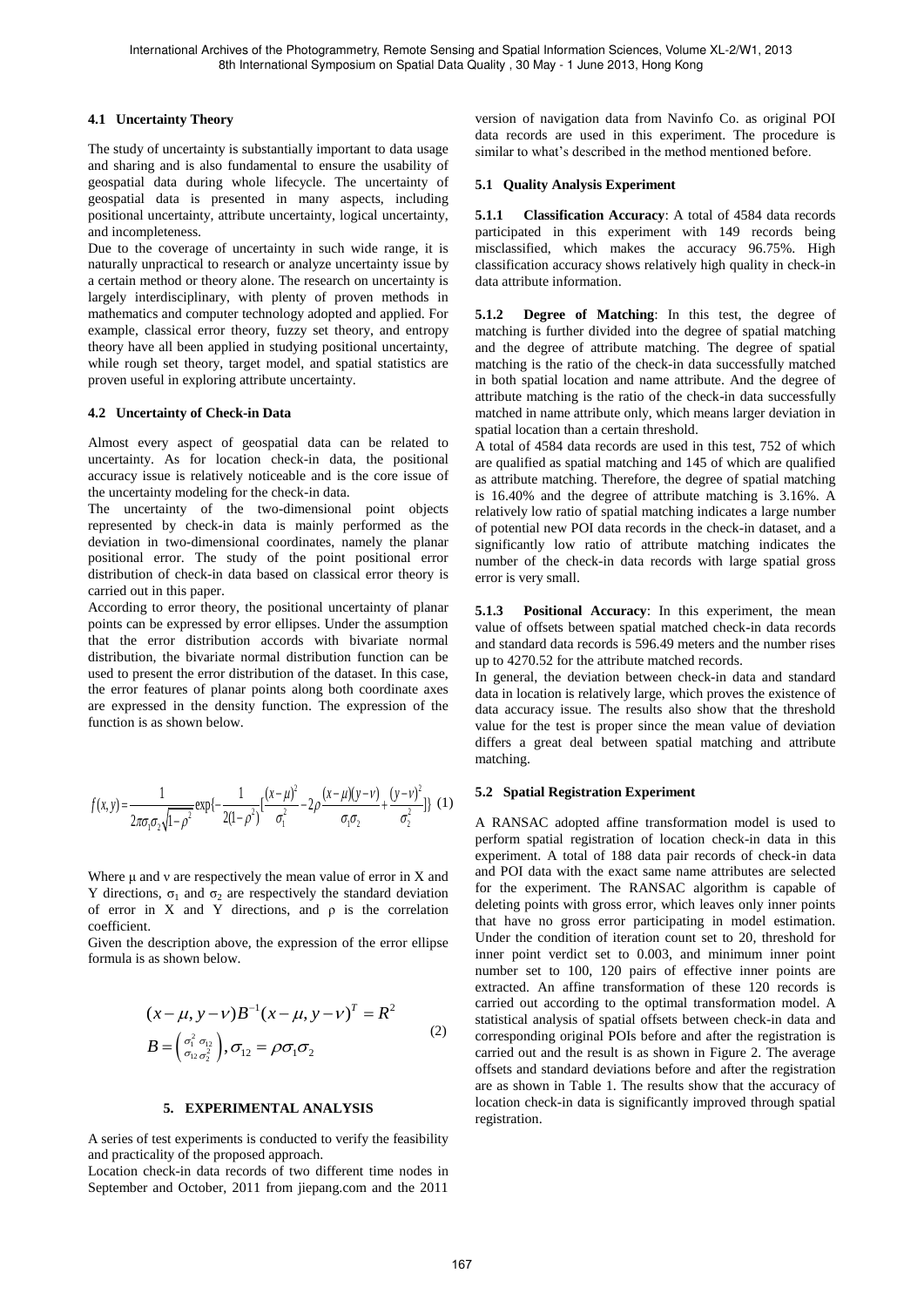## **4.1 Uncertainty Theory**

The study of uncertainty is substantially important to data usage and sharing and is also fundamental to ensure the usability of geospatial data during whole lifecycle. The uncertainty of geospatial data is presented in many aspects, including positional uncertainty, attribute uncertainty, logical uncertainty, and incompleteness.

Due to the coverage of uncertainty in such wide range, it is naturally unpractical to research or analyze uncertainty issue by a certain method or theory alone. The research on uncertainty is largely interdisciplinary, with plenty of proven methods in mathematics and computer technology adopted and applied. For example, classical error theory, fuzzy set theory, and entropy theory have all been applied in studying positional uncertainty, while rough set theory, target model, and spatial statistics are proven useful in exploring attribute uncertainty.

## **4.2 Uncertainty of Check-in Data**

Almost every aspect of geospatial data can be related to uncertainty. As for location check-in data, the positional accuracy issue is relatively noticeable and is the core issue of the uncertainty modeling for the check-in data.

The uncertainty of the two-dimensional point objects represented by check-in data is mainly performed as the deviation in two-dimensional coordinates, namely the planar positional error. The study of the point positional error distribution of check-in data based on classical error theory is carried out in this paper.

According to error theory, the positional uncertainty of planar points can be expressed by error ellipses. Under the assumption that the error distribution accords with bivariate normal distribution, the bivariate normal distribution function can be used to present the error distribution of the dataset. In this case, the error features of planar points along both coordinate axes are expressed in the density function. The expression of the function is as shown below.

$$
f(x, y) = \frac{1}{2\pi\sigma_1\sigma_2\sqrt{1-\rho^2}} \exp\left\{-\frac{1}{2(1-\rho^2)}\left[\frac{(x-\mu)^2}{\sigma_1^2} - 2\rho\frac{(x-\mu)(y-\nu)}{\sigma_1\sigma_2} + \frac{(y-\nu)^2}{\sigma_2^2}\right]\right\}
$$
 (1)

Where  $\mu$  and  $\nu$  are respectively the mean value of error in X and Y directions,  $\sigma_1$  and  $\sigma_2$  are respectively the standard deviation of error in X and Y directions, and  $\rho$  is the correlation coefficient.

Given the description above, the expression of the error ellipse formula is as shown below.

$$
(x - \mu, y - \nu)B^{-1}(x - \mu, y - \nu)^T = R^2
$$
  
\n
$$
B = \left(\begin{array}{c} \sigma_1^2 & \sigma_{12} \\ \sigma_{12} & \sigma_2^2 \end{array}\right), \sigma_{12} = \rho \sigma_1 \sigma_2
$$
 (2)

## **5. EXPERIMENTAL ANALYSIS**

A series of test experiments is conducted to verify the feasibility and practicality of the proposed approach.

Location check-in data records of two different time nodes in September and October, 2011 from jiepang.com and the 2011

version of navigation data from Navinfo Co. as original POI data records are used in this experiment. The procedure is similar to what's described in the method mentioned before.

# **5.1 Quality Analysis Experiment**

**5.1.1 Classification Accuracy**: A total of 4584 data records participated in this experiment with 149 records being misclassified, which makes the accuracy 96.75%. High classification accuracy shows relatively high quality in check-in data attribute information.

**5.1.2 Degree of Matching**: In this test, the degree of matching is further divided into the degree of spatial matching and the degree of attribute matching. The degree of spatial matching is the ratio of the check-in data successfully matched in both spatial location and name attribute. And the degree of attribute matching is the ratio of the check-in data successfully matched in name attribute only, which means larger deviation in spatial location than a certain threshold.

A total of 4584 data records are used in this test, 752 of which are qualified as spatial matching and 145 of which are qualified as attribute matching. Therefore, the degree of spatial matching is 16.40% and the degree of attribute matching is 3.16%. A relatively low ratio of spatial matching indicates a large number of potential new POI data records in the check-in dataset, and a significantly low ratio of attribute matching indicates the number of the check-in data records with large spatial gross error is very small.

**5.1.3 Positional Accuracy**: In this experiment, the mean value of offsets between spatial matched check-in data records and standard data records is 596.49 meters and the number rises up to 4270.52 for the attribute matched records.

In general, the deviation between check-in data and standard data in location is relatively large, which proves the existence of data accuracy issue. The results also show that the threshold value for the test is proper since the mean value of deviation differs a great deal between spatial matching and attribute matching.

# **5.2 Spatial Registration Experiment**

A RANSAC adopted affine transformation model is used to perform spatial registration of location check-in data in this experiment. A total of 188 data pair records of check-in data and POI data with the exact same name attributes are selected for the experiment. The RANSAC algorithm is capable of deleting points with gross error, which leaves only inner points that have no gross error participating in model estimation. Under the condition of iteration count set to 20, threshold for inner point verdict set to 0.003, and minimum inner point number set to 100, 120 pairs of effective inner points are extracted. An affine transformation of these 120 records is carried out according to the optimal transformation model. A statistical analysis of spatial offsets between check-in data and corresponding original POIs before and after the registration is carried out and the result is as shown in Figure 2. The average offsets and standard deviations before and after the registration are as shown in Table 1. The results show that the accuracy of location check-in data is significantly improved through spatial registration.